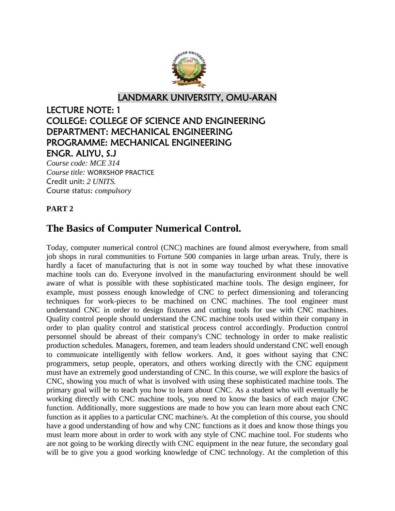

LANDMARK UNIVERSITY, OMU-ARAN

# LECTURE NOTE: 1 COLLEGE: COLLEGE OF SCIENCE AND ENGINEERING DEPARTMENT: MECHANICAL ENGINEERING PROGRAMME: MECHANICAL ENGINEERING ENGR. ALIYU, S.J

*Course code: MCE 314 Course title:* WORKSHOP PRACTICE Credit unit: *2 UNITS.* Course status: *compulsory*

# **PART 2**

# **The Basics of Computer Numerical Control.**

Today, computer numerical control (CNC) machines are found almost everywhere, from small job shops in rural communities to Fortune 500 companies in large urban areas. Truly, there is hardly a facet of manufacturing that is not in some way touched by what these innovative machine tools can do. Everyone involved in the manufacturing environment should be well aware of what is possible with these sophisticated machine tools. The design engineer, for example, must possess enough knowledge of CNC to perfect dimensioning and tolerancing techniques for work-pieces to be machined on CNC machines. The tool engineer must understand CNC in order to design fixtures and cutting tools for use with CNC machines. Quality control people should understand the CNC machine tools used within their company in order to plan quality control and statistical process control accordingly. Production control personnel should be abreast of their company's CNC technology in order to make realistic production schedules. Managers, foremen, and team leaders should understand CNC well enough to communicate intelligently with fellow workers. And, it goes without saying that CNC programmers, setup people, operators, and others working directly with the CNC equipment must have an extremely good understanding of CNC. In this course, we will explore the basics of CNC, showing you much of what is involved with using these sophisticated machine tools. The primary goal will be to teach you how to learn about CNC. As a student who will eventually be working directly with CNC machine tools, you need to know the basics of each major CNC function. Additionally, more suggestions are made to how you can learn more about each CNC function as it applies to a particular CNC machine/s. At the completion of this course, you should have a good understanding of how and why CNC functions as it does and know those things you must learn more about in order to work with any style of CNC machine tool. For students who are not going to be working directly with CNC equipment in the near future, the secondary goal will be to give you a good working knowledge of CNC technology. At the completion of this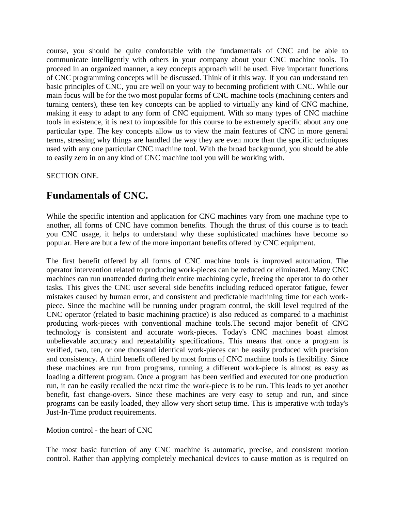course, you should be quite comfortable with the fundamentals of CNC and be able to communicate intelligently with others in your company about your CNC machine tools. To proceed in an organized manner, a key concepts approach will be used. Five important functions of CNC programming concepts will be discussed. Think of it this way. If you can understand ten basic principles of CNC, you are well on your way to becoming proficient with CNC. While our main focus will be for the two most popular forms of CNC machine tools (machining centers and turning centers), these ten key concepts can be applied to virtually any kind of CNC machine, making it easy to adapt to any form of CNC equipment. With so many types of CNC machine tools in existence, it is next to impossible for this course to be extremely specific about any one particular type. The key concepts allow us to view the main features of CNC in more general terms, stressing why things are handled the way they are even more than the specific techniques used with any one particular CNC machine tool. With the broad background, you should be able to easily zero in on any kind of CNC machine tool you will be working with.

SECTION ONE.

# **Fundamentals of CNC.**

While the specific intention and application for CNC machines vary from one machine type to another, all forms of CNC have common benefits. Though the thrust of this course is to teach you CNC usage, it helps to understand why these sophisticated machines have become so popular. Here are but a few of the more important benefits offered by CNC equipment.

The first benefit offered by all forms of CNC machine tools is improved automation. The operator intervention related to producing work-pieces can be reduced or eliminated. Many CNC machines can run unattended during their entire machining cycle, freeing the operator to do other tasks. This gives the CNC user several side benefits including reduced operator fatigue, fewer mistakes caused by human error, and consistent and predictable machining time for each workpiece. Since the machine will be running under program control, the skill level required of the CNC operator (related to basic machining practice) is also reduced as compared to a machinist producing work-pieces with conventional machine tools.The second major benefit of CNC technology is consistent and accurate work-pieces. Today's CNC machines boast almost unbelievable accuracy and repeatability specifications. This means that once a program is verified, two, ten, or one thousand identical work-pieces can be easily produced with precision and consistency. A third benefit offered by most forms of CNC machine tools is flexibility. Since these machines are run from programs, running a different work-piece is almost as easy as loading a different program. Once a program has been verified and executed for one production run, it can be easily recalled the next time the work-piece is to be run. This leads to yet another benefit, fast change-overs. Since these machines are very easy to setup and run, and since programs can be easily loaded, they allow very short setup time. This is imperative with today's Just-In-Time product requirements.

### Motion control - the heart of CNC

The most basic function of any CNC machine is automatic, precise, and consistent motion control. Rather than applying completely mechanical devices to cause motion as is required on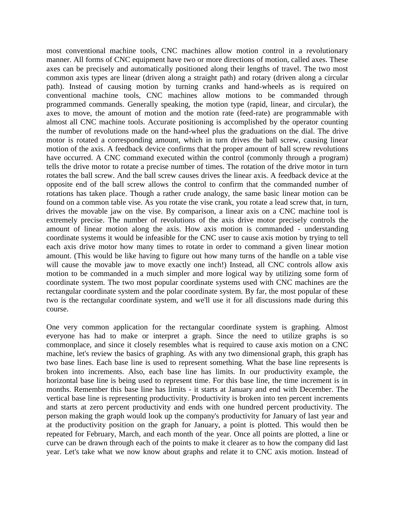most conventional machine tools, CNC machines allow motion control in a revolutionary manner. All forms of CNC equipment have two or more directions of motion, called axes. These axes can be precisely and automatically positioned along their lengths of travel. The two most common axis types are linear (driven along a straight path) and rotary (driven along a circular path). Instead of causing motion by turning cranks and hand-wheels as is required on conventional machine tools, CNC machines allow motions to be commanded through programmed commands. Generally speaking, the motion type (rapid, linear, and circular), the axes to move, the amount of motion and the motion rate (feed-rate) are programmable with almost all CNC machine tools. Accurate positioning is accomplished by the operator counting the number of revolutions made on the hand-wheel plus the graduations on the dial. The drive motor is rotated a corresponding amount, which in turn drives the ball screw, causing linear motion of the axis. A feedback device confirms that the proper amount of ball screw revolutions have occurred. A CNC command executed within the control (commonly through a program) tells the drive motor to rotate a precise number of times. The rotation of the drive motor in turn rotates the ball screw. And the ball screw causes drives the linear axis. A feedback device at the opposite end of the ball screw allows the control to confirm that the commanded number of rotations has taken place. Though a rather crude analogy, the same basic linear motion can be found on a common table vise. As you rotate the vise crank, you rotate a lead screw that, in turn, drives the movable jaw on the vise. By comparison, a linear axis on a CNC machine tool is extremely precise. The number of revolutions of the axis drive motor precisely controls the amount of linear motion along the axis. How axis motion is commanded - understanding coordinate systems it would be infeasible for the CNC user to cause axis motion by trying to tell each axis drive motor how many times to rotate in order to command a given linear motion amount. (This would be like having to figure out how many turns of the handle on a table vise will cause the movable jaw to move exactly one inch!) Instead, all CNC controls allow axis motion to be commanded in a much simpler and more logical way by utilizing some form of coordinate system. The two most popular coordinate systems used with CNC machines are the rectangular coordinate system and the polar coordinate system. By far, the most popular of these two is the rectangular coordinate system, and we'll use it for all discussions made during this course.

One very common application for the rectangular coordinate system is graphing. Almost everyone has had to make or interpret a graph. Since the need to utilize graphs is so commonplace, and since it closely resembles what is required to cause axis motion on a CNC machine, let's review the basics of graphing. As with any two dimensional graph, this graph has two base lines. Each base line is used to represent something. What the base line represents is broken into increments. Also, each base line has limits. In our productivity example, the horizontal base line is being used to represent time. For this base line, the time increment is in months. Remember this base line has limits - it starts at January and end with December. The vertical base line is representing productivity. Productivity is broken into ten percent increments and starts at zero percent productivity and ends with one hundred percent productivity. The person making the graph would look up the company's productivity for January of last year and at the productivity position on the graph for January, a point is plotted. This would then be repeated for February, March, and each month of the year. Once all points are plotted, a line or curve can be drawn through each of the points to make it clearer as to how the company did last year. Let's take what we now know about graphs and relate it to CNC axis motion. Instead of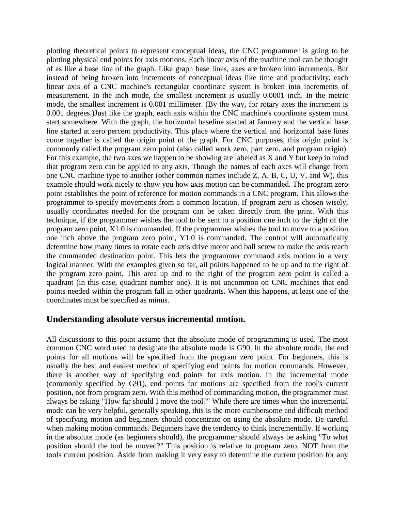plotting theoretical points to represent conceptual ideas, the CNC programmer is going to be plotting physical end points for axis motions. Each linear axis of the machine tool can be thought of as like a base line of the graph. Like graph base lines, axes are broken into increments. But instead of being broken into increments of conceptual ideas like time and productivity, each linear axis of a CNC machine's rectangular coordinate system is broken into increments of measurement. In the inch mode, the smallest increment is usually 0.0001 inch. In the metric mode, the smallest increment is 0.001 millimeter. (By the way, for rotary axes the increment is 0.001 degrees.)Just like the graph, each axis within the CNC machine's coordinate system must start somewhere. With the graph, the horizontal baseline started at January and the vertical base line started at zero percent productivity. This place where the vertical and horizontal base lines come together is called the origin point of the graph. For CNC purposes, this origin point is commonly called the program zero point (also called work zero, part zero, and program origin). For this example, the two axes we happen to be showing are labeled as X and Y but keep in mind that program zero can be applied to any axis. Though the names of each axes will change from one CNC machine type to another (other common names include Z, A, B, C, U, V, and W), this example should work nicely to show you how axis motion can be commanded. The program zero point establishes the point of reference for motion commands in a CNC program. This allows the programmer to specify movements from a common location. If program zero is chosen wisely, usually coordinates needed for the program can be taken directly from the print. With this technique, if the programmer wishes the tool to be sent to a position one inch to the right of the program zero point, X1.0 is commanded. If the programmer wishes the tool to move to a position one inch above the program zero point, Y1.0 is commanded. The control will automatically determine how many times to rotate each axis drive motor and ball screw to make the axis reach the commanded destination point. This lets the programmer command axis motion in a very logical manner. With the examples given so far, all points happened to be up and to the right of the program zero point. This area up and to the right of the program zero point is called a quadrant (in this case, quadrant number one). It is not uncommon on CNC machines that end points needed within the program fall in other quadrants. When this happens, at least one of the coordinates must be specified as minus.

### **Understanding absolute versus incremental motion.**

All discussions to this point assume that the absolute mode of programming is used. The most common CNC word used to designate the absolute mode is G90. In the absolute mode, the end points for all motions will be specified from the program zero point. For beginners, this is usually the best and easiest method of specifying end points for motion commands. However, there is another way of specifying end points for axis motion. In the incremental mode (commonly specified by G91), end points for motions are specified from the tool's current position, not from program zero. With this method of commanding motion, the programmer must always be asking "How far should I move the tool?" While there are times when the incremental mode can be very helpful, generally speaking, this is the more cumbersome and difficult method of specifying motion and beginners should concentrate on using the absolute mode. Be careful when making motion commands. Beginners have the tendency to think incrementally. If working in the absolute mode (as beginners should), the programmer should always be asking "To what position should the tool be moved?" This position is relative to program zero, NOT from the tools current position. Aside from making it very easy to determine the current position for any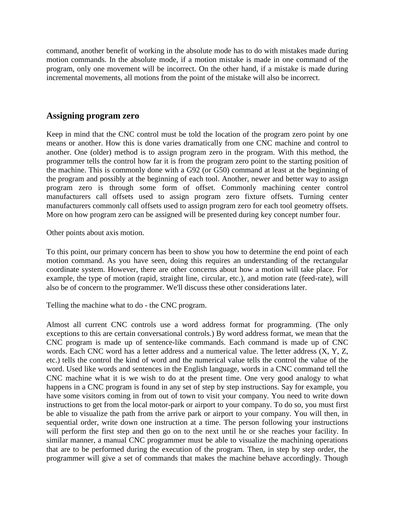command, another benefit of working in the absolute mode has to do with mistakes made during motion commands. In the absolute mode, if a motion mistake is made in one command of the program, only one movement will be incorrect. On the other hand, if a mistake is made during incremental movements, all motions from the point of the mistake will also be incorrect.

### **Assigning program zero**

Keep in mind that the CNC control must be told the location of the program zero point by one means or another. How this is done varies dramatically from one CNC machine and control to another. One (older) method is to assign program zero in the program. With this method, the programmer tells the control how far it is from the program zero point to the starting position of the machine. This is commonly done with a G92 (or G50) command at least at the beginning of the program and possibly at the beginning of each tool. Another, newer and better way to assign program zero is through some form of offset. Commonly machining center control manufacturers call offsets used to assign program zero fixture offsets. Turning center manufacturers commonly call offsets used to assign program zero for each tool geometry offsets. More on how program zero can be assigned will be presented during key concept number four.

Other points about axis motion.

To this point, our primary concern has been to show you how to determine the end point of each motion command. As you have seen, doing this requires an understanding of the rectangular coordinate system. However, there are other concerns about how a motion will take place. For example, the type of motion (rapid, straight line, circular, etc.), and motion rate (feed-rate), will also be of concern to the programmer. We'll discuss these other considerations later.

Telling the machine what to do - the CNC program.

Almost all current CNC controls use a word address format for programming. (The only exceptions to this are certain conversational controls.) By word address format, we mean that the CNC program is made up of sentence-like commands. Each command is made up of CNC words. Each CNC word has a letter address and a numerical value. The letter address (X, Y, Z, etc.) tells the control the kind of word and the numerical value tells the control the value of the word. Used like words and sentences in the English language, words in a CNC command tell the CNC machine what it is we wish to do at the present time. One very good analogy to what happens in a CNC program is found in any set of step by step instructions. Say for example, you have some visitors coming in from out of town to visit your company. You need to write down instructions to get from the local motor-park or airport to your company. To do so, you must first be able to visualize the path from the arrive park or airport to your company. You will then, in sequential order, write down one instruction at a time. The person following your instructions will perform the first step and then go on to the next until he or she reaches your facility. In similar manner, a manual CNC programmer must be able to visualize the machining operations that are to be performed during the execution of the program. Then, in step by step order, the programmer will give a set of commands that makes the machine behave accordingly. Though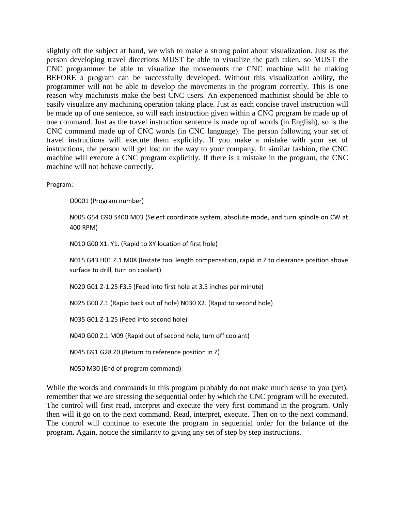slightly off the subject at hand, we wish to make a strong point about visualization. Just as the person developing travel directions MUST be able to visualize the path taken, so MUST the CNC programmer be able to visualize the movements the CNC machine will be making BEFORE a program can be successfully developed. Without this visualization ability, the programmer will not be able to develop the movements in the program correctly. This is one reason why machinists make the best CNC users. An experienced machinist should be able to easily visualize any machining operation taking place. Just as each concise travel instruction will be made up of one sentence, so will each instruction given within a CNC program be made up of one command. Just as the travel instruction sentence is made up of words (in English), so is the CNC command made up of CNC words (in CNC language). The person following your set of travel instructions will execute them explicitly. If you make a mistake with your set of instructions, the person will get lost on the way to your company. In similar fashion, the CNC machine will execute a CNC program explicitly. If there is a mistake in the program, the CNC machine will not behave correctly.

Program:

O0001 (Program number)

N005 G54 G90 S400 M03 (Select coordinate system, absolute mode, and turn spindle on CW at 400 RPM)

N010 G00 X1. Y1. (Rapid to XY location of first hole)

N015 G43 H01 Z.1 M08 (Instate tool length compensation, rapid in Z to clearance position above surface to drill, turn on coolant)

N020 G01 Z-1.25 F3.5 (Feed into first hole at 3.5 inches per minute)

N025 G00 Z.1 (Rapid back out of hole) N030 X2. (Rapid to second hole)

N035 G01 Z-1.25 (Feed into second hole)

N040 G00 Z.1 M09 (Rapid out of second hole, turn off coolant)

N045 G91 G28 Z0 (Return to reference position in Z)

N050 M30 (End of program command)

While the words and commands in this program probably do not make much sense to you (yet), remember that we are stressing the sequential order by which the CNC program will be executed. The control will first read, interpret and execute the very first command in the program. Only then will it go on to the next command. Read, interpret, execute. Then on to the next command. The control will continue to execute the program in sequential order for the balance of the program. Again, notice the similarity to giving any set of step by step instructions.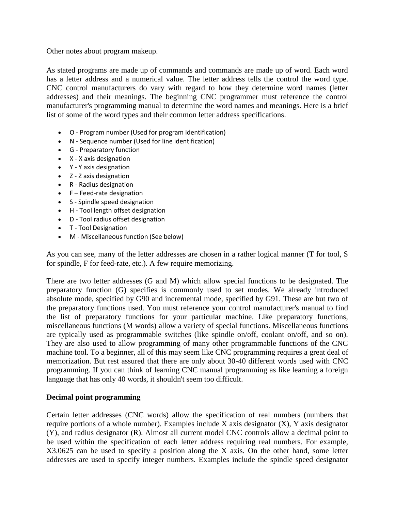Other notes about program makeup.

As stated programs are made up of commands and commands are made up of word. Each word has a letter address and a numerical value. The letter address tells the control the word type. CNC control manufacturers do vary with regard to how they determine word names (letter addresses) and their meanings. The beginning CNC programmer must reference the control manufacturer's programming manual to determine the word names and meanings. Here is a brief list of some of the word types and their common letter address specifications.

- O Program number (Used for program identification)
- N Sequence number (Used for line identification)
- G Preparatory function
- X X axis designation
- Y Y axis designation
- Z Z axis designation
- R Radius designation
- $\bullet$  F Feed-rate designation
- S Spindle speed designation
- H Tool length offset designation
- D Tool radius offset designation
- T Tool Designation
- M Miscellaneous function (See below)

As you can see, many of the letter addresses are chosen in a rather logical manner (T for tool, S for spindle, F for feed-rate, etc.). A few require memorizing.

There are two letter addresses (G and M) which allow special functions to be designated. The preparatory function (G) specifies is commonly used to set modes. We already introduced absolute mode, specified by G90 and incremental mode, specified by G91. These are but two of the preparatory functions used. You must reference your control manufacturer's manual to find the list of preparatory functions for your particular machine. Like preparatory functions, miscellaneous functions (M words) allow a variety of special functions. Miscellaneous functions are typically used as programmable switches (like spindle on/off, coolant on/off, and so on). They are also used to allow programming of many other programmable functions of the CNC machine tool. To a beginner, all of this may seem like CNC programming requires a great deal of memorization. But rest assured that there are only about 30-40 different words used with CNC programming. If you can think of learning CNC manual programming as like learning a foreign language that has only 40 words, it shouldn't seem too difficult.

### **Decimal point programming**

Certain letter addresses (CNC words) allow the specification of real numbers (numbers that require portions of a whole number). Examples include X axis designator (X), Y axis designator (Y), and radius designator (R). Almost all current model CNC controls allow a decimal point to be used within the specification of each letter address requiring real numbers. For example, X3.0625 can be used to specify a position along the X axis. On the other hand, some letter addresses are used to specify integer numbers. Examples include the spindle speed designator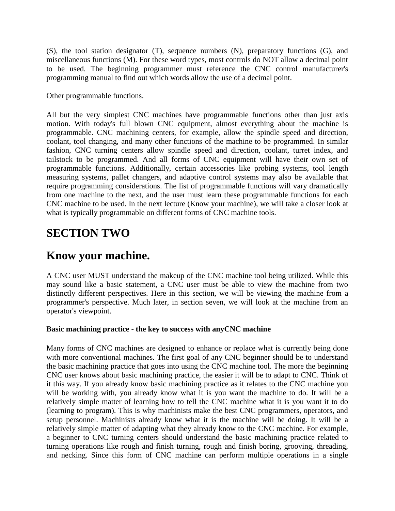(S), the tool station designator (T), sequence numbers (N), preparatory functions (G), and miscellaneous functions (M). For these word types, most controls do NOT allow a decimal point to be used. The beginning programmer must reference the CNC control manufacturer's programming manual to find out which words allow the use of a decimal point.

Other programmable functions.

All but the very simplest CNC machines have programmable functions other than just axis motion. With today's full blown CNC equipment, almost everything about the machine is programmable. CNC machining centers, for example, allow the spindle speed and direction, coolant, tool changing, and many other functions of the machine to be programmed. In similar fashion, CNC turning centers allow spindle speed and direction, coolant, turret index, and tailstock to be programmed. And all forms of CNC equipment will have their own set of programmable functions. Additionally, certain accessories like probing systems, tool length measuring systems, pallet changers, and adaptive control systems may also be available that require programming considerations. The list of programmable functions will vary dramatically from one machine to the next, and the user must learn these programmable functions for each CNC machine to be used. In the next lecture (Know your machine), we will take a closer look at what is typically programmable on different forms of CNC machine tools.

# **SECTION TWO**

# **Know your machine.**

A CNC user MUST understand the makeup of the CNC machine tool being utilized. While this may sound like a basic statement, a CNC user must be able to view the machine from two distinctly different perspectives. Here in this section, we will be viewing the machine from a programmer's perspective. Much later, in section seven, we will look at the machine from an operator's viewpoint.

### **Basic machining practice - the key to success with anyCNC machine**

Many forms of CNC machines are designed to enhance or replace what is currently being done with more conventional machines. The first goal of any CNC beginner should be to understand the basic machining practice that goes into using the CNC machine tool. The more the beginning CNC user knows about basic machining practice, the easier it will be to adapt to CNC. Think of it this way. If you already know basic machining practice as it relates to the CNC machine you will be working with, you already know what it is you want the machine to do. It will be a relatively simple matter of learning how to tell the CNC machine what it is you want it to do (learning to program). This is why machinists make the best CNC programmers, operators, and setup personnel. Machinists already know what it is the machine will be doing. It will be a relatively simple matter of adapting what they already know to the CNC machine. For example, a beginner to CNC turning centers should understand the basic machining practice related to turning operations like rough and finish turning, rough and finish boring, grooving, threading, and necking. Since this form of CNC machine can perform multiple operations in a single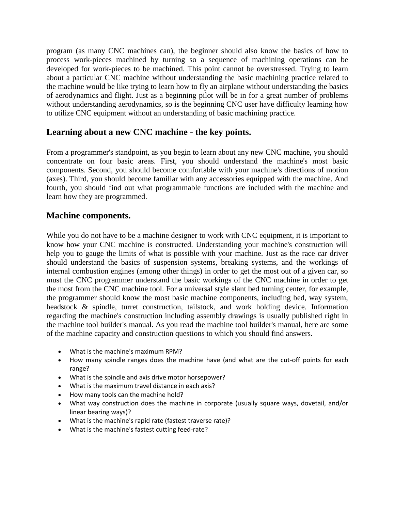program (as many CNC machines can), the beginner should also know the basics of how to process work-pieces machined by turning so a sequence of machining operations can be developed for work-pieces to be machined. This point cannot be overstressed. Trying to learn about a particular CNC machine without understanding the basic machining practice related to the machine would be like trying to learn how to fly an airplane without understanding the basics of aerodynamics and flight. Just as a beginning pilot will be in for a great number of problems without understanding aerodynamics, so is the beginning CNC user have difficulty learning how to utilize CNC equipment without an understanding of basic machining practice.

# **Learning about a new CNC machine - the key points.**

From a programmer's standpoint, as you begin to learn about any new CNC machine, you should concentrate on four basic areas. First, you should understand the machine's most basic components. Second, you should become comfortable with your machine's directions of motion (axes). Third, you should become familiar with any accessories equipped with the machine. And fourth, you should find out what programmable functions are included with the machine and learn how they are programmed.

# **Machine components.**

While you do not have to be a machine designer to work with CNC equipment, it is important to know how your CNC machine is constructed. Understanding your machine's construction will help you to gauge the limits of what is possible with your machine. Just as the race car driver should understand the basics of suspension systems, breaking systems, and the workings of internal combustion engines (among other things) in order to get the most out of a given car, so must the CNC programmer understand the basic workings of the CNC machine in order to get the most from the CNC machine tool. For a universal style slant bed turning center, for example, the programmer should know the most basic machine components, including bed, way system, headstock & spindle, turret construction, tailstock, and work holding device. Information regarding the machine's construction including assembly drawings is usually published right in the machine tool builder's manual. As you read the machine tool builder's manual, here are some of the machine capacity and construction questions to which you should find answers.

- What is the machine's maximum RPM?
- How many spindle ranges does the machine have (and what are the cut-off points for each range?
- What is the spindle and axis drive motor horsepower?
- What is the maximum travel distance in each axis?
- How many tools can the machine hold?
- What way construction does the machine in corporate (usually square ways, dovetail, and/or linear bearing ways)?
- What is the machine's rapid rate (fastest traverse rate)?
- What is the machine's fastest cutting feed-rate?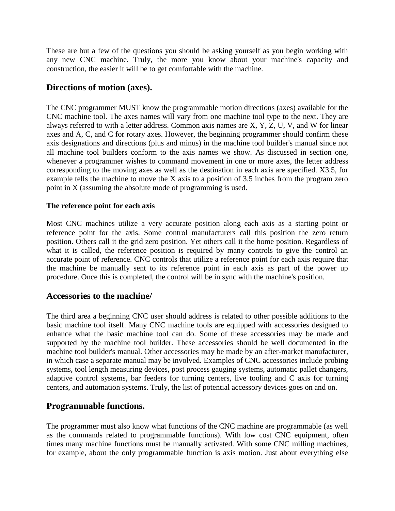These are but a few of the questions you should be asking yourself as you begin working with any new CNC machine. Truly, the more you know about your machine's capacity and construction, the easier it will be to get comfortable with the machine.

# **Directions of motion (axes).**

The CNC programmer MUST know the programmable motion directions (axes) available for the CNC machine tool. The axes names will vary from one machine tool type to the next. They are always referred to with a letter address. Common axis names are X, Y, Z, U, V, and W for linear axes and A, C, and C for rotary axes. However, the beginning programmer should confirm these axis designations and directions (plus and minus) in the machine tool builder's manual since not all machine tool builders conform to the axis names we show. As discussed in section one, whenever a programmer wishes to command movement in one or more axes, the letter address corresponding to the moving axes as well as the destination in each axis are specified. X3.5, for example tells the machine to move the X axis to a position of 3.5 inches from the program zero point in X (assuming the absolute mode of programming is used.

### **The reference point for each axis**

Most CNC machines utilize a very accurate position along each axis as a starting point or reference point for the axis. Some control manufacturers call this position the zero return position. Others call it the grid zero position. Yet others call it the home position. Regardless of what it is called, the reference position is required by many controls to give the control an accurate point of reference. CNC controls that utilize a reference point for each axis require that the machine be manually sent to its reference point in each axis as part of the power up procedure. Once this is completed, the control will be in sync with the machine's position.

# **Accessories to the machine/**

The third area a beginning CNC user should address is related to other possible additions to the basic machine tool itself. Many CNC machine tools are equipped with accessories designed to enhance what the basic machine tool can do. Some of these accessories may be made and supported by the machine tool builder. These accessories should be well documented in the machine tool builder's manual. Other accessories may be made by an after-market manufacturer, in which case a separate manual may be involved. Examples of CNC accessories include probing systems, tool length measuring devices, post process gauging systems, automatic pallet changers, adaptive control systems, bar feeders for turning centers, live tooling and C axis for turning centers, and automation systems. Truly, the list of potential accessory devices goes on and on.

# **Programmable functions.**

The programmer must also know what functions of the CNC machine are programmable (as well as the commands related to programmable functions). With low cost CNC equipment, often times many machine functions must be manually activated. With some CNC milling machines, for example, about the only programmable function is axis motion. Just about everything else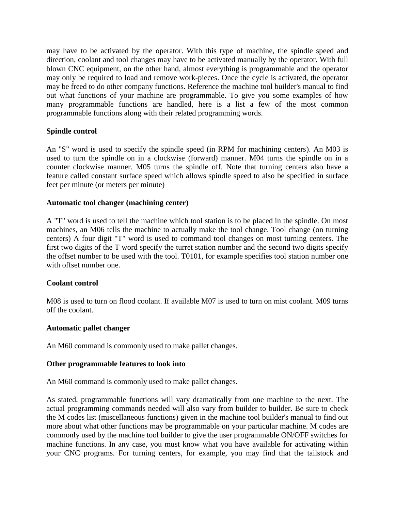may have to be activated by the operator. With this type of machine, the spindle speed and direction, coolant and tool changes may have to be activated manually by the operator. With full blown CNC equipment, on the other hand, almost everything is programmable and the operator may only be required to load and remove work-pieces. Once the cycle is activated, the operator may be freed to do other company functions. Reference the machine tool builder's manual to find out what functions of your machine are programmable. To give you some examples of how many programmable functions are handled, here is a list a few of the most common programmable functions along with their related programming words.

### **Spindle control**

An "S" word is used to specify the spindle speed (in RPM for machining centers). An M03 is used to turn the spindle on in a clockwise (forward) manner. M04 turns the spindle on in a counter clockwise manner. M05 turns the spindle off. Note that turning centers also have a feature called constant surface speed which allows spindle speed to also be specified in surface feet per minute (or meters per minute)

### **Automatic tool changer (machining center)**

A "T" word is used to tell the machine which tool station is to be placed in the spindle. On most machines, an M06 tells the machine to actually make the tool change. Tool change (on turning centers) A four digit "T" word is used to command tool changes on most turning centers. The first two digits of the T word specify the turret station number and the second two digits specify the offset number to be used with the tool. T0101, for example specifies tool station number one with offset number one.

### **Coolant control**

M08 is used to turn on flood coolant. If available M07 is used to turn on mist coolant. M09 turns off the coolant.

### **Automatic pallet changer**

An M60 command is commonly used to make pallet changes.

#### **Other programmable features to look into**

An M60 command is commonly used to make pallet changes.

As stated, programmable functions will vary dramatically from one machine to the next. The actual programming commands needed will also vary from builder to builder. Be sure to check the M codes list (miscellaneous functions) given in the machine tool builder's manual to find out more about what other functions may be programmable on your particular machine. M codes are commonly used by the machine tool builder to give the user programmable ON/OFF switches for machine functions. In any case, you must know what you have available for activating within your CNC programs. For turning centers, for example, you may find that the tailstock and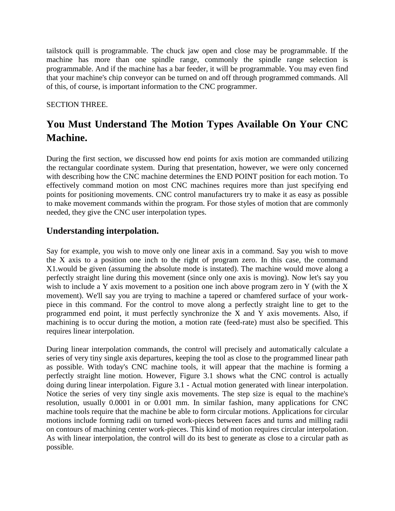tailstock quill is programmable. The chuck jaw open and close may be programmable. If the machine has more than one spindle range, commonly the spindle range selection is programmable. And if the machine has a bar feeder, it will be programmable. You may even find that your machine's chip conveyor can be turned on and off through programmed commands. All of this, of course, is important information to the CNC programmer.

## SECTION THREE.

# **You Must Understand The Motion Types Available On Your CNC Machine.**

During the first section, we discussed how end points for axis motion are commanded utilizing the rectangular coordinate system. During that presentation, however, we were only concerned with describing how the CNC machine determines the END POINT position for each motion. To effectively command motion on most CNC machines requires more than just specifying end points for positioning movements. CNC control manufacturers try to make it as easy as possible to make movement commands within the program. For those styles of motion that are commonly needed, they give the CNC user interpolation types.

# **Understanding interpolation.**

Say for example, you wish to move only one linear axis in a command. Say you wish to move the X axis to a position one inch to the right of program zero. In this case, the command X1.would be given (assuming the absolute mode is instated). The machine would move along a perfectly straight line during this movement (since only one axis is moving). Now let's say you wish to include a Y axis movement to a position one inch above program zero in Y (with the X movement). We'll say you are trying to machine a tapered or chamfered surface of your workpiece in this command. For the control to move along a perfectly straight line to get to the programmed end point, it must perfectly synchronize the X and Y axis movements. Also, if machining is to occur during the motion, a motion rate (feed-rate) must also be specified. This requires linear interpolation.

During linear interpolation commands, the control will precisely and automatically calculate a series of very tiny single axis departures, keeping the tool as close to the programmed linear path as possible. With today's CNC machine tools, it will appear that the machine is forming a perfectly straight line motion. However, Figure 3.1 shows what the CNC control is actually doing during linear interpolation. Figure 3.1 - Actual motion generated with linear interpolation. Notice the series of very tiny single axis movements. The step size is equal to the machine's resolution, usually 0.0001 in or 0.001 mm. In similar fashion, many applications for CNC machine tools require that the machine be able to form circular motions. Applications for circular motions include forming radii on turned work-pieces between faces and turns and milling radii on contours of machining center work-pieces. This kind of motion requires circular interpolation. As with linear interpolation, the control will do its best to generate as close to a circular path as possible.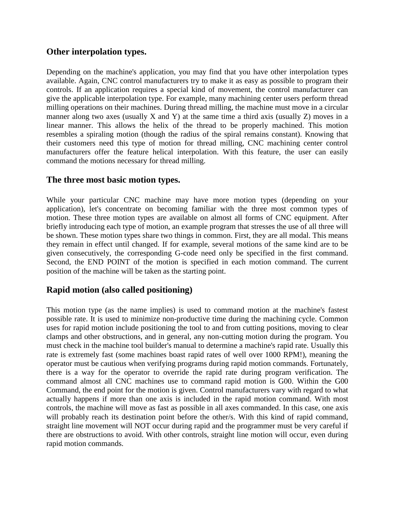# **Other interpolation types.**

Depending on the machine's application, you may find that you have other interpolation types available. Again, CNC control manufacturers try to make it as easy as possible to program their controls. If an application requires a special kind of movement, the control manufacturer can give the applicable interpolation type. For example, many machining center users perform thread milling operations on their machines. During thread milling, the machine must move in a circular manner along two axes (usually  $X$  and  $Y$ ) at the same time a third axis (usually  $Z$ ) moves in a linear manner. This allows the helix of the thread to be properly machined. This motion resembles a spiraling motion (though the radius of the spiral remains constant). Knowing that their customers need this type of motion for thread milling, CNC machining center control manufacturers offer the feature helical interpolation. With this feature, the user can easily command the motions necessary for thread milling.

# **The three most basic motion types.**

While your particular CNC machine may have more motion types (depending on your application), let's concentrate on becoming familiar with the three most common types of motion. These three motion types are available on almost all forms of CNC equipment. After briefly introducing each type of motion, an example program that stresses the use of all three will be shown. These motion types share two things in common. First, they are all modal. This means they remain in effect until changed. If for example, several motions of the same kind are to be given consecutively, the corresponding G-code need only be specified in the first command. Second, the END POINT of the motion is specified in each motion command. The current position of the machine will be taken as the starting point.

# **Rapid motion (also called positioning)**

This motion type (as the name implies) is used to command motion at the machine's fastest possible rate. It is used to minimize non-productive time during the machining cycle. Common uses for rapid motion include positioning the tool to and from cutting positions, moving to clear clamps and other obstructions, and in general, any non-cutting motion during the program. You must check in the machine tool builder's manual to determine a machine's rapid rate. Usually this rate is extremely fast (some machines boast rapid rates of well over 1000 RPM!), meaning the operator must be cautious when verifying programs during rapid motion commands. Fortunately, there is a way for the operator to override the rapid rate during program verification. The command almost all CNC machines use to command rapid motion is G00. Within the G00 Command, the end point for the motion is given. Control manufacturers vary with regard to what actually happens if more than one axis is included in the rapid motion command. With most controls, the machine will move as fast as possible in all axes commanded. In this case, one axis will probably reach its destination point before the other/s. With this kind of rapid command, straight line movement will NOT occur during rapid and the programmer must be very careful if there are obstructions to avoid. With other controls, straight line motion will occur, even during rapid motion commands.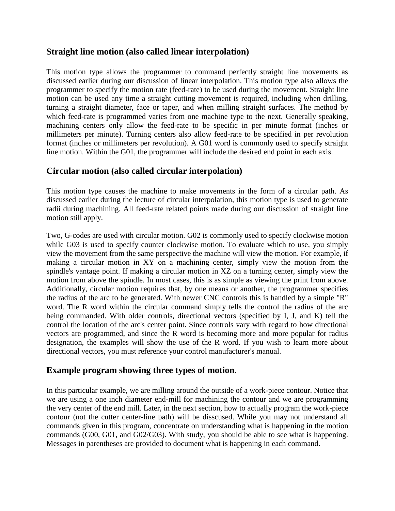# **Straight line motion (also called linear interpolation)**

This motion type allows the programmer to command perfectly straight line movements as discussed earlier during our discussion of linear interpolation. This motion type also allows the programmer to specify the motion rate (feed-rate) to be used during the movement. Straight line motion can be used any time a straight cutting movement is required, including when drilling, turning a straight diameter, face or taper, and when milling straight surfaces. The method by which feed-rate is programmed varies from one machine type to the next. Generally speaking, machining centers only allow the feed-rate to be specific in per minute format (inches or millimeters per minute). Turning centers also allow feed-rate to be specified in per revolution format (inches or millimeters per revolution). A G01 word is commonly used to specify straight line motion. Within the G01, the programmer will include the desired end point in each axis.

# **Circular motion (also called circular interpolation)**

This motion type causes the machine to make movements in the form of a circular path. As discussed earlier during the lecture of circular interpolation, this motion type is used to generate radii during machining. All feed-rate related points made during our discussion of straight line motion still apply.

Two, G-codes are used with circular motion. G02 is commonly used to specify clockwise motion while G03 is used to specify counter clockwise motion. To evaluate which to use, you simply view the movement from the same perspective the machine will view the motion. For example, if making a circular motion in XY on a machining center, simply view the motion from the spindle's vantage point. If making a circular motion in XZ on a turning center, simply view the motion from above the spindle. In most cases, this is as simple as viewing the print from above. Additionally, circular motion requires that, by one means or another, the programmer specifies the radius of the arc to be generated. With newer CNC controls this is handled by a simple "R" word. The R word within the circular command simply tells the control the radius of the arc being commanded. With older controls, directional vectors (specified by I, J, and K) tell the control the location of the arc's center point. Since controls vary with regard to how directional vectors are programmed, and since the R word is becoming more and more popular for radius designation, the examples will show the use of the R word. If you wish to learn more about directional vectors, you must reference your control manufacturer's manual.

# **Example program showing three types of motion.**

In this particular example, we are milling around the outside of a work-piece contour. Notice that we are using a one inch diameter end-mill for machining the contour and we are programming the very center of the end mill. Later, in the next section, how to actually program the work-piece contour (not the cutter center-line path) will be disscused. While you may not understand all commands given in this program, concentrate on understanding what is happening in the motion commands (G00, G01, and G02/G03). With study, you should be able to see what is happening. Messages in parentheses are provided to document what is happening in each command.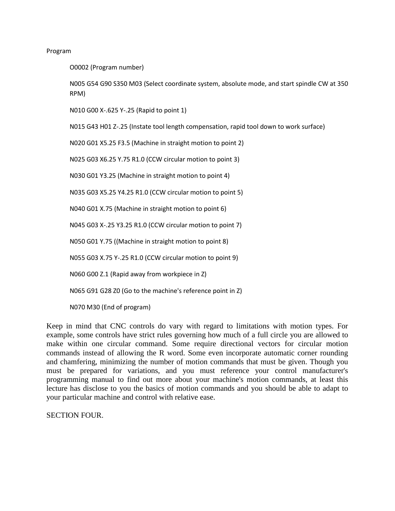#### Program

O0002 (Program number)

N005 G54 G90 S350 M03 (Select coordinate system, absolute mode, and start spindle CW at 350 RPM)

N010 G00 X-.625 Y-.25 (Rapid to point 1)

N015 G43 H01 Z-.25 (Instate tool length compensation, rapid tool down to work surface)

N020 G01 X5.25 F3.5 (Machine in straight motion to point 2)

N025 G03 X6.25 Y.75 R1.0 (CCW circular motion to point 3)

N030 G01 Y3.25 (Machine in straight motion to point 4)

N035 G03 X5.25 Y4.25 R1.0 (CCW circular motion to point 5)

N040 G01 X.75 (Machine in straight motion to point 6)

N045 G03 X-.25 Y3.25 R1.0 (CCW circular motion to point 7)

N050 G01 Y.75 ((Machine in straight motion to point 8)

N055 G03 X.75 Y-.25 R1.0 (CCW circular motion to point 9)

N060 G00 Z.1 (Rapid away from workpiece in Z)

N065 G91 G28 Z0 (Go to the machine's reference point in Z)

N070 M30 (End of program)

Keep in mind that CNC controls do vary with regard to limitations with motion types. For example, some controls have strict rules governing how much of a full circle you are allowed to make within one circular command. Some require directional vectors for circular motion commands instead of allowing the R word. Some even incorporate automatic corner rounding and chamfering, minimizing the number of motion commands that must be given. Though you must be prepared for variations, and you must reference your control manufacturer's programming manual to find out more about your machine's motion commands, at least this lecture has disclose to you the basics of motion commands and you should be able to adapt to your particular machine and control with relative ease.

SECTION FOUR.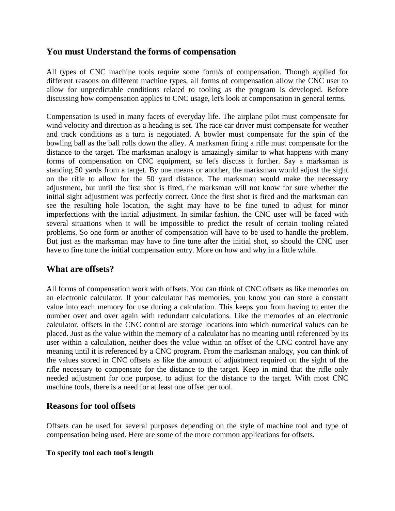# **You must Understand the forms of compensation**

All types of CNC machine tools require some form/s of compensation. Though applied for different reasons on different machine types, all forms of compensation allow the CNC user to allow for unpredictable conditions related to tooling as the program is developed. Before discussing how compensation applies to CNC usage, let's look at compensation in general terms.

Compensation is used in many facets of everyday life. The airplane pilot must compensate for wind velocity and direction as a heading is set. The race car driver must compensate for weather and track conditions as a turn is negotiated. A bowler must compensate for the spin of the bowling ball as the ball rolls down the alley. A marksman firing a rifle must compensate for the distance to the target. The marksman analogy is amazingly similar to what happens with many forms of compensation on CNC equipment, so let's discuss it further. Say a marksman is standing 50 yards from a target. By one means or another, the marksman would adjust the sight on the rifle to allow for the 50 yard distance. The marksman would make the necessary adjustment, but until the first shot is fired, the marksman will not know for sure whether the initial sight adjustment was perfectly correct. Once the first shot is fired and the marksman can see the resulting hole location, the sight may have to be fine tuned to adjust for minor imperfections with the initial adjustment. In similar fashion, the CNC user will be faced with several situations when it will be impossible to predict the result of certain tooling related problems. So one form or another of compensation will have to be used to handle the problem. But just as the marksman may have to fine tune after the initial shot, so should the CNC user have to fine tune the initial compensation entry. More on how and why in a little while.

# **What are offsets?**

All forms of compensation work with offsets. You can think of CNC offsets as like memories on an electronic calculator. If your calculator has memories, you know you can store a constant value into each memory for use during a calculation. This keeps you from having to enter the number over and over again with redundant calculations. Like the memories of an electronic calculator, offsets in the CNC control are storage locations into which numerical values can be placed. Just as the value within the memory of a calculator has no meaning until referenced by its user within a calculation, neither does the value within an offset of the CNC control have any meaning until it is referenced by a CNC program. From the marksman analogy, you can think of the values stored in CNC offsets as like the amount of adjustment required on the sight of the rifle necessary to compensate for the distance to the target. Keep in mind that the rifle only needed adjustment for one purpose, to adjust for the distance to the target. With most CNC machine tools, there is a need for at least one offset per tool.

# **Reasons for tool offsets**

Offsets can be used for several purposes depending on the style of machine tool and type of compensation being used. Here are some of the more common applications for offsets.

### **To specify tool each tool's length**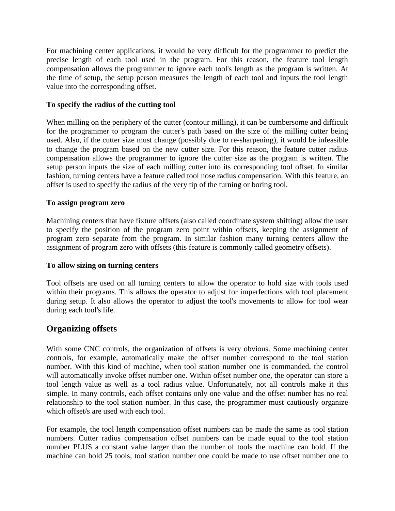For machining center applications, it would be very difficult for the programmer to predict the precise length of each tool used in the program. For this reason, the feature tool length compensation allows the programmer to ignore each tool's length as the program is written. At the time of setup, the setup person measures the length of each tool and inputs the tool length value into the corresponding offset.

### **To specify the radius of the cutting tool**

When milling on the periphery of the cutter (contour milling), it can be cumbersome and difficult for the programmer to program the cutter's path based on the size of the milling cutter being used. Also, if the cutter size must change (possibly due to re-sharpening), it would be infeasible to change the program based on the new cutter size. For this reason, the feature cutter radius compensation allows the programmer to ignore the cutter size as the program is written. The setup person inputs the size of each milling cutter into its corresponding tool offset. In similar fashion, turning centers have a feature called tool nose radius compensation. With this feature, an offset is used to specify the radius of the very tip of the turning or boring tool.

### **To assign program zero**

Machining centers that have fixture offsets (also called coordinate system shifting) allow the user to specify the position of the program zero point within offsets, keeping the assignment of program zero separate from the program. In similar fashion many turning centers allow the assignment of program zero with offsets (this feature is commonly called geometry offsets).

### **To allow sizing on turning centers**

Tool offsets are used on all turning centers to allow the operator to hold size with tools used within their programs. This allows the operator to adjust for imperfections with tool placement during setup. It also allows the operator to adjust the tool's movements to allow for tool wear during each tool's life.

# **Organizing offsets**

With some CNC controls, the organization of offsets is very obvious. Some machining center controls, for example, automatically make the offset number correspond to the tool station number. With this kind of machine, when tool station number one is commanded, the control will automatically invoke offset number one. Within offset number one, the operator can store a tool length value as well as a tool radius value. Unfortunately, not all controls make it this simple. In many controls, each offset contains only one value and the offset number has no real relationship to the tool station number. In this case, the programmer must cautiously organize which offset/s are used with each tool.

For example, the tool length compensation offset numbers can be made the same as tool station numbers. Cutter radius compensation offset numbers can be made equal to the tool station number PLUS a constant value larger than the number of tools the machine can hold. If the machine can hold 25 tools, tool station number one could be made to use offset number one to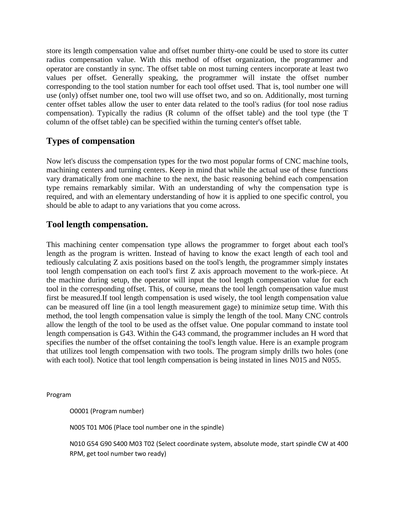store its length compensation value and offset number thirty-one could be used to store its cutter radius compensation value. With this method of offset organization, the programmer and operator are constantly in sync. The offset table on most turning centers incorporate at least two values per offset. Generally speaking, the programmer will instate the offset number corresponding to the tool station number for each tool offset used. That is, tool number one will use (only) offset number one, tool two will use offset two, and so on. Additionally, most turning center offset tables allow the user to enter data related to the tool's radius (for tool nose radius compensation). Typically the radius (R column of the offset table) and the tool type (the T column of the offset table) can be specified within the turning center's offset table.

# **Types of compensation**

Now let's discuss the compensation types for the two most popular forms of CNC machine tools, machining centers and turning centers. Keep in mind that while the actual use of these functions vary dramatically from one machine to the next, the basic reasoning behind each compensation type remains remarkably similar. With an understanding of why the compensation type is required, and with an elementary understanding of how it is applied to one specific control, you should be able to adapt to any variations that you come across.

# **Tool length compensation.**

This machining center compensation type allows the programmer to forget about each tool's length as the program is written. Instead of having to know the exact length of each tool and tediously calculating Z axis positions based on the tool's length, the programmer simply instates tool length compensation on each tool's first Z axis approach movement to the work-piece. At the machine during setup, the operator will input the tool length compensation value for each tool in the corresponding offset. This, of course, means the tool length compensation value must first be measured.If tool length compensation is used wisely, the tool length compensation value can be measured off line (in a tool length measurement gage) to minimize setup time. With this method, the tool length compensation value is simply the length of the tool. Many CNC controls allow the length of the tool to be used as the offset value. One popular command to instate tool length compensation is G43. Within the G43 command, the programmer includes an H word that specifies the number of the offset containing the tool's length value. Here is an example program that utilizes tool length compensation with two tools. The program simply drills two holes (one with each tool). Notice that tool length compensation is being instated in lines N015 and N055.

Program

O0001 (Program number)

N005 T01 M06 (Place tool number one in the spindle)

N010 G54 G90 S400 M03 T02 (Select coordinate system, absolute mode, start spindle CW at 400 RPM, get tool number two ready)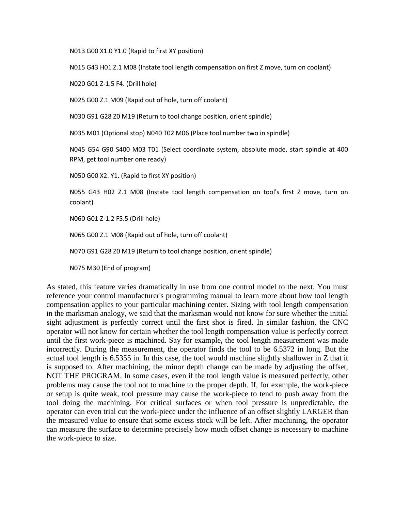N013 G00 X1.0 Y1.0 (Rapid to first XY position)

N015 G43 H01 Z.1 M08 (Instate tool length compensation on first Z move, turn on coolant)

N020 G01 Z-1.5 F4. (Drill hole)

N025 G00 Z.1 M09 (Rapid out of hole, turn off coolant)

N030 G91 G28 Z0 M19 (Return to tool change position, orient spindle)

N035 M01 (Optional stop) N040 T02 M06 (Place tool number two in spindle)

N045 G54 G90 S400 M03 T01 (Select coordinate system, absolute mode, start spindle at 400 RPM, get tool number one ready)

N050 G00 X2. Y1. (Rapid to first XY position)

N055 G43 H02 Z.1 M08 (Instate tool length compensation on tool's first Z move, turn on coolant)

N060 G01 Z-1.2 F5.5 (Drill hole)

N065 G00 Z.1 M08 (Rapid out of hole, turn off coolant)

N070 G91 G28 Z0 M19 (Return to tool change position, orient spindle)

N075 M30 (End of program)

As stated, this feature varies dramatically in use from one control model to the next. You must reference your control manufacturer's programming manual to learn more about how tool length compensation applies to your particular machining center. Sizing with tool length compensation in the marksman analogy, we said that the marksman would not know for sure whether the initial sight adjustment is perfectly correct until the first shot is fired. In similar fashion, the CNC operator will not know for certain whether the tool length compensation value is perfectly correct until the first work-piece is machined. Say for example, the tool length measurement was made incorrectly. During the measurement, the operator finds the tool to be 6.5372 in long. But the actual tool length is 6.5355 in. In this case, the tool would machine slightly shallower in Z that it is supposed to. After machining, the minor depth change can be made by adjusting the offset, NOT THE PROGRAM. In some cases, even if the tool length value is measured perfectly, other problems may cause the tool not to machine to the proper depth. If, for example, the work-piece or setup is quite weak, tool pressure may cause the work-piece to tend to push away from the tool doing the machining. For critical surfaces or when tool pressure is unpredictable, the operator can even trial cut the work-piece under the influence of an offset slightly LARGER than the measured value to ensure that some excess stock will be left. After machining, the operator can measure the surface to determine precisely how much offset change is necessary to machine the work-piece to size.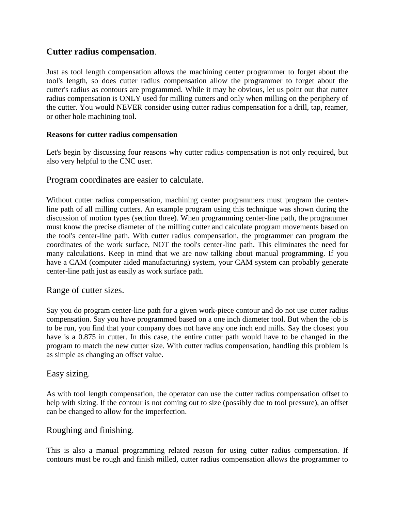# **Cutter radius compensation**.

Just as tool length compensation allows the machining center programmer to forget about the tool's length, so does cutter radius compensation allow the programmer to forget about the cutter's radius as contours are programmed. While it may be obvious, let us point out that cutter radius compensation is ONLY used for milling cutters and only when milling on the periphery of the cutter. You would NEVER consider using cutter radius compensation for a drill, tap, reamer, or other hole machining tool.

### **Reasons for cutter radius compensation**

Let's begin by discussing four reasons why cutter radius compensation is not only required, but also very helpful to the CNC user.

### Program coordinates are easier to calculate.

Without cutter radius compensation, machining center programmers must program the centerline path of all milling cutters. An example program using this technique was shown during the discussion of motion types (section three). When programming center-line path, the programmer must know the precise diameter of the milling cutter and calculate program movements based on the tool's center-line path. With cutter radius compensation, the programmer can program the coordinates of the work surface, NOT the tool's center-line path. This eliminates the need for many calculations. Keep in mind that we are now talking about manual programming. If you have a CAM (computer aided manufacturing) system, your CAM system can probably generate center-line path just as easily as work surface path.

### Range of cutter sizes.

Say you do program center-line path for a given work-piece contour and do not use cutter radius compensation. Say you have programmed based on a one inch diameter tool. But when the job is to be run, you find that your company does not have any one inch end mills. Say the closest you have is a 0.875 in cutter. In this case, the entire cutter path would have to be changed in the program to match the new cutter size. With cutter radius compensation, handling this problem is as simple as changing an offset value.

### Easy sizing.

As with tool length compensation, the operator can use the cutter radius compensation offset to help with sizing. If the contour is not coming out to size (possibly due to tool pressure), an offset can be changed to allow for the imperfection.

### Roughing and finishing.

This is also a manual programming related reason for using cutter radius compensation. If contours must be rough and finish milled, cutter radius compensation allows the programmer to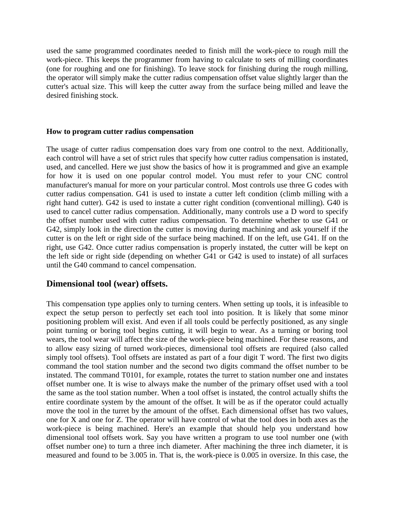used the same programmed coordinates needed to finish mill the work-piece to rough mill the work-piece. This keeps the programmer from having to calculate to sets of milling coordinates (one for roughing and one for finishing). To leave stock for finishing during the rough milling, the operator will simply make the cutter radius compensation offset value slightly larger than the cutter's actual size. This will keep the cutter away from the surface being milled and leave the desired finishing stock.

#### **How to program cutter radius compensation**

The usage of cutter radius compensation does vary from one control to the next. Additionally, each control will have a set of strict rules that specify how cutter radius compensation is instated, used, and cancelled. Here we just show the basics of how it is programmed and give an example for how it is used on one popular control model. You must refer to your CNC control manufacturer's manual for more on your particular control. Most controls use three G codes with cutter radius compensation. G41 is used to instate a cutter left condition (climb milling with a right hand cutter). G42 is used to instate a cutter right condition (conventional milling). G40 is used to cancel cutter radius compensation. Additionally, many controls use a D word to specify the offset number used with cutter radius compensation. To determine whether to use G41 or G42, simply look in the direction the cutter is moving during machining and ask yourself if the cutter is on the left or right side of the surface being machined. If on the left, use G41. If on the right, use G42. Once cutter radius compensation is properly instated, the cutter will be kept on the left side or right side (depending on whether G41 or G42 is used to instate) of all surfaces until the G40 command to cancel compensation.

### **Dimensional tool (wear) offsets.**

This compensation type applies only to turning centers. When setting up tools, it is infeasible to expect the setup person to perfectly set each tool into position. It is likely that some minor positioning problem will exist. And even if all tools could be perfectly positioned, as any single point turning or boring tool begins cutting, it will begin to wear. As a turning or boring tool wears, the tool wear will affect the size of the work-piece being machined. For these reasons, and to allow easy sizing of turned work-pieces, dimensional tool offsets are required (also called simply tool offsets). Tool offsets are instated as part of a four digit T word. The first two digits command the tool station number and the second two digits command the offset number to be instated. The command T0101, for example, rotates the turret to station number one and instates offset number one. It is wise to always make the number of the primary offset used with a tool the same as the tool station number. When a tool offset is instated, the control actually shifts the entire coordinate system by the amount of the offset. It will be as if the operator could actually move the tool in the turret by the amount of the offset. Each dimensional offset has two values, one for X and one for Z. The operator will have control of what the tool does in both axes as the work-piece is being machined. Here's an example that should help you understand how dimensional tool offsets work. Say you have written a program to use tool number one (with offset number one) to turn a three inch diameter. After machining the three inch diameter, it is measured and found to be 3.005 in. That is, the work-piece is 0.005 in oversize. In this case, the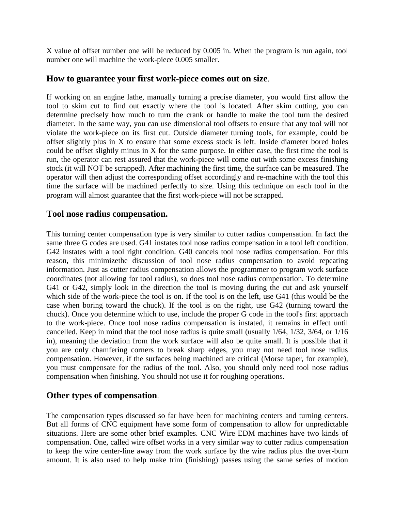X value of offset number one will be reduced by 0.005 in. When the program is run again, tool number one will machine the work-piece 0.005 smaller.

## **How to guarantee your first work-piece comes out on size**.

If working on an engine lathe, manually turning a precise diameter, you would first allow the tool to skim cut to find out exactly where the tool is located. After skim cutting, you can determine precisely how much to turn the crank or handle to make the tool turn the desired diameter. In the same way, you can use dimensional tool offsets to ensure that any tool will not violate the work-piece on its first cut. Outside diameter turning tools, for example, could be offset slightly plus in X to ensure that some excess stock is left. Inside diameter bored holes could be offset slightly minus in X for the same purpose. In either case, the first time the tool is run, the operator can rest assured that the work-piece will come out with some excess finishing stock (it will NOT be scrapped). After machining the first time, the surface can be measured. The operator will then adjust the corresponding offset accordingly and re-machine with the tool this time the surface will be machined perfectly to size. Using this technique on each tool in the program will almost guarantee that the first work-piece will not be scrapped.

## **Tool nose radius compensation.**

This turning center compensation type is very similar to cutter radius compensation. In fact the same three G codes are used. G41 instates tool nose radius compensation in a tool left condition. G42 instates with a tool right condition. G40 cancels tool nose radius compensation. For this reason, this minimizethe discussion of tool nose radius compensation to avoid repeating information. Just as cutter radius compensation allows the programmer to program work surface coordinates (not allowing for tool radius), so does tool nose radius compensation. To determine G41 or G42, simply look in the direction the tool is moving during the cut and ask yourself which side of the work-piece the tool is on. If the tool is on the left, use G41 (this would be the case when boring toward the chuck). If the tool is on the right, use G42 (turning toward the chuck). Once you determine which to use, include the proper G code in the tool's first approach to the work-piece. Once tool nose radius compensation is instated, it remains in effect until cancelled. Keep in mind that the tool nose radius is quite small (usually 1/64, 1/32, 3/64, or 1/16 in), meaning the deviation from the work surface will also be quite small. It is possible that if you are only chamfering corners to break sharp edges, you may not need tool nose radius compensation. However, if the surfaces being machined are critical (Morse taper, for example), you must compensate for the radius of the tool. Also, you should only need tool nose radius compensation when finishing. You should not use it for roughing operations.

# **Other types of compensation**.

The compensation types discussed so far have been for machining centers and turning centers. But all forms of CNC equipment have some form of compensation to allow for unpredictable situations. Here are some other brief examples. CNC Wire EDM machines have two kinds of compensation. One, called wire offset works in a very similar way to cutter radius compensation to keep the wire center-line away from the work surface by the wire radius plus the over-burn amount. It is also used to help make trim (finishing) passes using the same series of motion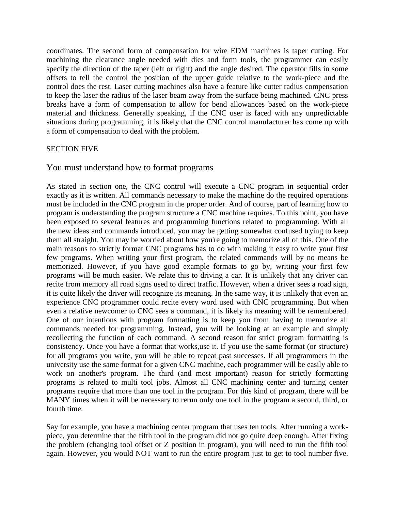coordinates. The second form of compensation for wire EDM machines is taper cutting. For machining the clearance angle needed with dies and form tools, the programmer can easily specify the direction of the taper (left or right) and the angle desired. The operator fills in some offsets to tell the control the position of the upper guide relative to the work-piece and the control does the rest. Laser cutting machines also have a feature like cutter radius compensation to keep the laser the radius of the laser beam away from the surface being machined. CNC press breaks have a form of compensation to allow for bend allowances based on the work-piece material and thickness. Generally speaking, if the CNC user is faced with any unpredictable situations during programming, it is likely that the CNC control manufacturer has come up with a form of compensation to deal with the problem.

### SECTION FIVE

### You must understand how to format programs

As stated in section one, the CNC control will execute a CNC program in sequential order exactly as it is written. All commands necessary to make the machine do the required operations must be included in the CNC program in the proper order. And of course, part of learning how to program is understanding the program structure a CNC machine requires. To this point, you have been exposed to several features and programming functions related to programming. With all the new ideas and commands introduced, you may be getting somewhat confused trying to keep them all straight. You may be worried about how you're going to memorize all of this. One of the main reasons to strictly format CNC programs has to do with making it easy to write your first few programs. When writing your first program, the related commands will by no means be memorized. However, if you have good example formats to go by, writing your first few programs will be much easier. We relate this to driving a car. It is unlikely that any driver can recite from memory all road signs used to direct traffic. However, when a driver sees a road sign, it is quite likely the driver will recognize its meaning. In the same way, it is unlikely that even an experience CNC programmer could recite every word used with CNC programming. But when even a relative newcomer to CNC sees a command, it is likely its meaning will be remembered. One of our intentions with program formatting is to keep you from having to memorize all commands needed for programming. Instead, you will be looking at an example and simply recollecting the function of each command. A second reason for strict program formatting is consistency. Once you have a format that works,use it. If you use the same format (or structure) for all programs you write, you will be able to repeat past successes. If all programmers in the university use the same format for a given CNC machine, each programmer will be easily able to work on another's program. The third (and most important) reason for strictly formatting programs is related to multi tool jobs. Almost all CNC machining center and turning center programs require that more than one tool in the program. For this kind of program, there will be MANY times when it will be necessary to rerun only one tool in the program a second, third, or fourth time.

Say for example, you have a machining center program that uses ten tools. After running a workpiece, you determine that the fifth tool in the program did not go quite deep enough. After fixing the problem (changing tool offset or Z position in program), you will need to run the fifth tool again. However, you would NOT want to run the entire program just to get to tool number five.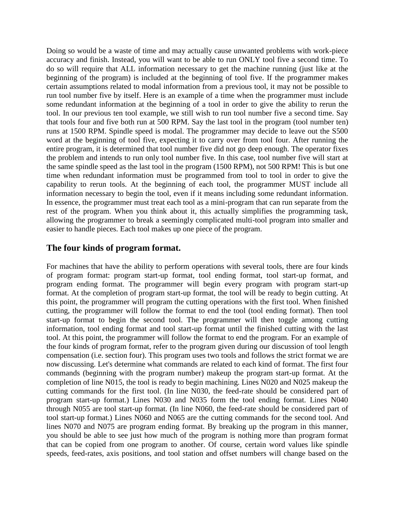Doing so would be a waste of time and may actually cause unwanted problems with work-piece accuracy and finish. Instead, you will want to be able to run ONLY tool five a second time. To do so will require that ALL information necessary to get the machine running (just like at the beginning of the program) is included at the beginning of tool five. If the programmer makes certain assumptions related to modal information from a previous tool, it may not be possible to run tool number five by itself. Here is an example of a time when the programmer must include some redundant information at the beginning of a tool in order to give the ability to rerun the tool. In our previous ten tool example, we still wish to run tool number five a second time. Say that tools four and five both run at 500 RPM. Say the last tool in the program (tool number ten) runs at 1500 RPM. Spindle speed is modal. The programmer may decide to leave out the S500 word at the beginning of tool five, expecting it to carry over from tool four. After running the entire program, it is determined that tool number five did not go deep enough. The operator fixes the problem and intends to run only tool number five. In this case, tool number five will start at the same spindle speed as the last tool in the program (1500 RPM), not 500 RPM! This is but one time when redundant information must be programmed from tool to tool in order to give the capability to rerun tools. At the beginning of each tool, the programmer MUST include all information necessary to begin the tool, even if it means including some redundant information. In essence, the programmer must treat each tool as a mini-program that can run separate from the rest of the program. When you think about it, this actually simplifies the programming task, allowing the programmer to break a seemingly complicated multi-tool program into smaller and easier to handle pieces. Each tool makes up one piece of the program.

# **The four kinds of program format.**

For machines that have the ability to perform operations with several tools, there are four kinds of program format: program start-up format, tool ending format, tool start-up format, and program ending format. The programmer will begin every program with program start-up format. At the completion of program start-up format, the tool will be ready to begin cutting. At this point, the programmer will program the cutting operations with the first tool. When finished cutting, the programmer will follow the format to end the tool (tool ending format). Then tool start-up format to begin the second tool. The programmer will then toggle among cutting information, tool ending format and tool start-up format until the finished cutting with the last tool. At this point, the programmer will follow the format to end the program. For an example of the four kinds of program format, refer to the program given during our discussion of tool length compensation (i.e. section four). This program uses two tools and follows the strict format we are now discussing. Let's determine what commands are related to each kind of format. The first four commands (beginning with the program number) makeup the program start-up format. At the completion of line N015, the tool is ready to begin machining. Lines N020 and N025 makeup the cutting commands for the first tool. (In line N030, the feed-rate should be considered part of program start-up format.) Lines N030 and N035 form the tool ending format. Lines N040 through N055 are tool start-up format. (In line N060, the feed-rate should be considered part of tool start-up format.) Lines N060 and N065 are the cutting commands for the second tool. And lines N070 and N075 are program ending format. By breaking up the program in this manner, you should be able to see just how much of the program is nothing more than program format that can be copied from one program to another. Of course, certain word values like spindle speeds, feed-rates, axis positions, and tool station and offset numbers will change based on the